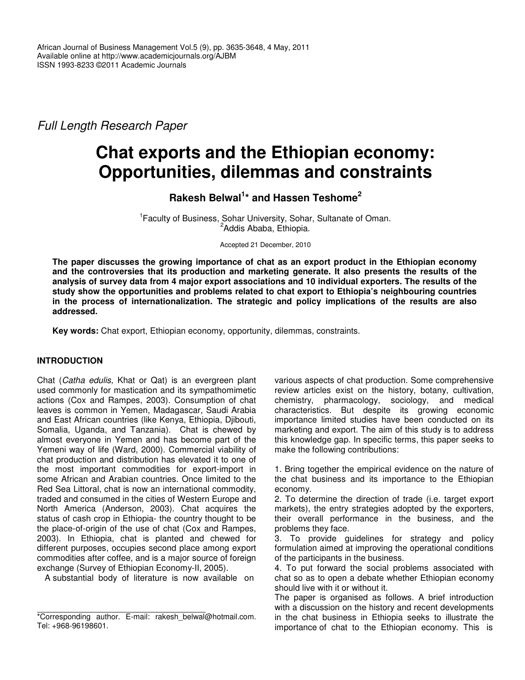*Full Length Research Paper*

# **Chat exports and the Ethiopian economy: Opportunities, dilemmas and constraints**

**Rakesh Belwal 1 \* and Hassen Teshome 2**

<sup>1</sup> Faculty of Business, Sohar University, Sohar, Sultanate of Oman. <sup>2</sup>Addis Ababa, Ethiopia.

Accepted 21 December, 2010

**The paper discusses the growing importance of chat as an export product in the Ethiopian economy and the controversies that its production and marketing generate. It also presents the results of the analysis of survey data from 4 major export associations and 10 individual exporters. The results of the study show the opportunities and problems related to chat export to Ethiopia's neighbouring countries in the process of internationalization. The strategic and policy implications of the results are also addressed.**

**Key words:** Chat export, Ethiopian economy, opportunity, dilemmas, constraints.

# **INTRODUCTION**

Chat (*Catha edulis,* Khat or Qat) is an evergreen plant used commonly for mastication and its sympathomimetic actions (Cox and Rampes, 2003). Consumption of chat leaves is common in Yemen, Madagascar, Saudi Arabia and East African countries (like Kenya, Ethiopia, Djibouti, Somalia, Uganda, and Tanzania). Chat is chewed by almost everyone in Yemen and has become part of the Yemeni way of life (Ward, 2000). Commercial viability of chat production and distribution has elevated it to one of the most important commodities for export-import in some African and Arabian countries. Once limited to the Red Sea Littoral, chat is now an international commodity, traded and consumed in the cities of Western Europe and North America (Anderson, 2003). Chat acquires the status of cash crop in Ethiopia- the country thought to be the place-of-origin of the use of chat (Cox and Rampes, 2003). In Ethiopia, chat is planted and chewed for different purposes, occupies second place among export commodities after coffee, and is a major source of foreign exchange (Survey of Ethiopian Economy-II, 2005).

A substantial body of literature is now available on

various aspects of chat production. Some comprehensive review articles exist on the history, botany, cultivation, chemistry, pharmacology, sociology, and medical characteristics. But despite its growing economic importance limited studies have been conducted on its marketing and export. The aim of this study is to address this knowledge gap. In specific terms, this paper seeks to make the following contributions:

1. Bring together the empirical evidence on the nature of the chat business and its importance to the Ethiopian economy.

2. To determine the direction of trade (i.e. target export markets), the entry strategies adopted by the exporters, their overall performance in the business, and the problems they face.

3. To provide guidelines for strategy and policy formulation aimed at improving the operational conditions of the participants in the business.

4. To put forward the social problems associated with chat so as to open a debate whether Ethiopian economy should live with it or without it.

The paper is organised as follows. A brief introduction with a discussion on the history and recent developments in the chat business in Ethiopia seeks to illustrate the importance of chat to the Ethiopian economy. This is

<sup>\*</sup>Corresponding author. E-mail: rakesh belwal@hotmail.com. Tel: +968-96198601.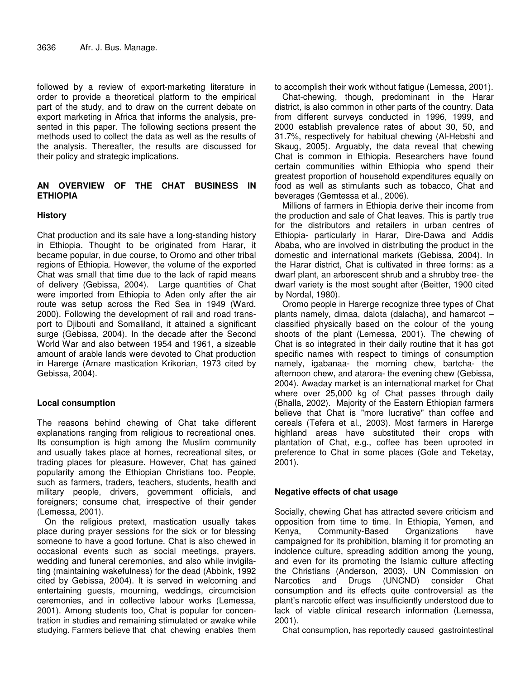followed by a review of export-marketing literature in order to provide a theoretical platform to the empirical part of the study, and to draw on the current debate on export marketing in Africa that informs the analysis, presented in this paper. The following sections present the methods used to collect the data as well as the results of the analysis. Thereafter, the results are discussed for their policy and strategic implications.

## **AN OVERVIEW OF THE CHAT BUSINESS IN ETHIOPIA**

# **History**

Chat production and its sale have a long-standing history in Ethiopia. Thought to be originated from Harar, it became popular, in due course, to Oromo and other tribal regions of Ethiopia. However, the volume of the exported Chat was small that time due to the lack of rapid means of delivery (Gebissa, 2004). Large quantities of Chat were imported from Ethiopia to Aden only after the air route was setup across the Red Sea in 1949 (Ward, 2000). Following the development of rail and road transport to Djibouti and Somaliland, it attained a significant surge (Gebissa, 2004). In the decade after the Second World War and also between 1954 and 1961, a sizeable amount of arable lands were devoted to Chat production in Harerge (Amare mastication Krikorian, 1973 cited by Gebissa, 2004).

## **Local consumption**

The reasons behind chewing of Chat take different explanations ranging from religious to recreational ones. Its consumption is high among the Muslim community and usually takes place at homes, recreational sites, or trading places for pleasure. However, Chat has gained popularity among the Ethiopian Christians too. People, such as farmers, traders, teachers, students, health and military people, drivers, government officials, and foreigners; consume chat, irrespective of their gender (Lemessa, 2001).

On the religious pretext, mastication usually takes place during prayer sessions for the sick or for blessing someone to have a good fortune. Chat is also chewed in occasional events such as social meetings, prayers, wedding and funeral ceremonies, and also while invigilating (maintaining wakefulness) for the dead (Abbink, 1992 cited by Gebissa, 2004). It is served in welcoming and entertaining guests, mourning, weddings, circumcision ceremonies, and in collective labour works (Lemessa, 2001). Among students too, Chat is popular for concentration in studies and remaining stimulated or awake while studying. Farmers believe that chat chewing enables them to accomplish their work without fatigue (Lemessa, 2001).

Chat-chewing, though, predominant in the Harar district, is also common in other parts of the country. Data from different surveys conducted in 1996, 1999, and 2000 establish prevalence rates of about 30, 50, and 31.7%, respectively for habitual chewing (Al-Hebshi and Skaug, 2005). Arguably, the data reveal that chewing Chat is common in Ethiopia. Researchers have found certain communities within Ethiopia who spend their greatest proportion of household expenditures equally on food as well as stimulants such as tobacco, Chat and beverages (Gemtessa et al., 2006).

Millions of farmers in Ethiopia derive their income from the production and sale of Chat leaves. This is partly true for the distributors and retailers in urban centres of Ethiopia- particularly in Harar, Dire-Dawa and Addis Ababa, who are involved in distributing the product in the domestic and international markets (Gebissa, 2004). In the Harar district, Chat is cultivated in three forms: as a dwarf plant, an arborescent shrub and a shrubby tree- the dwarf variety is the most sought after (Beitter, 1900 cited by Nordal, 1980).

Oromo people in Harerge recognize three types of Chat plants namely, dimaa, dalota (dalacha), and hamarcot – classified physically based on the colour of the young shoots of the plant (Lemessa, 2001). The chewing of Chat is so integrated in their daily routine that it has got specific names with respect to timings of consumption namely, igabanaa- the morning chew, bartcha- the afternoon chew, and atarora- the evening chew (Gebissa, 2004). Awaday market is an international market for Chat where over 25,000 kg of Chat passes through daily (Bhalla, 2002). Majority of the Eastern Ethiopian farmers believe that Chat is "more lucrative" than coffee and cereals (Tefera et al., 2003). Most farmers in Harerge highland areas have substituted their crops with plantation of Chat, e.g., coffee has been uprooted in preference to Chat in some places (Gole and Teketay, 2001).

## **Negative effects of chat usage**

Socially, chewing Chat has attracted severe criticism and opposition from time to time. In Ethiopia, Yemen, and Kenya, Community-Based Organizations have campaigned for its prohibition, blaming it for promoting an indolence culture, spreading addition among the young, and even for its promoting the Islamic culture affecting the Christians (Anderson, 2003). UN Commission on Narcotics and Drugs (UNCND) consider Chat consumption and its effects quite controversial as the plant's narcotic effect was insufficiently understood due to lack of viable clinical research information (Lemessa, 2001).

Chat consumption, has reportedly caused gastrointestinal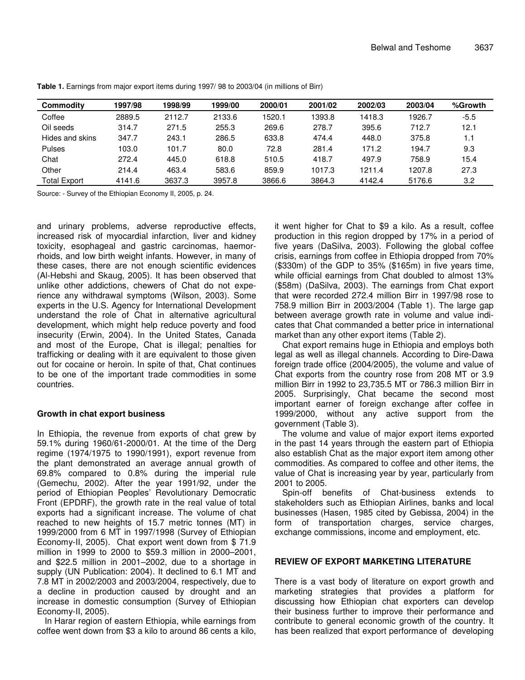| Commodity           | 1997/98 | 1998/99 | 1999/00 | 2000/01 | 2001/02 | 2002/03 | 2003/04 | %Growth |
|---------------------|---------|---------|---------|---------|---------|---------|---------|---------|
| Coffee              | 2889.5  | 2112.7  | 2133.6  | 1520.1  | 1393.8  | 1418.3  | 1926.7  | $-5.5$  |
| Oil seeds           | 314.7   | 271.5   | 255.3   | 269.6   | 278.7   | 395.6   | 712.7   | 12.1    |
| Hides and skins     | 347.7   | 243.1   | 286.5   | 633.8   | 474.4   | 448.0   | 375.8   | 1.1     |
| <b>Pulses</b>       | 103.0   | 101.7   | 80.0    | 72.8    | 281.4   | 171.2   | 194.7   | 9.3     |
| Chat                | 272.4   | 445.0   | 618.8   | 510.5   | 418.7   | 497.9   | 758.9   | 15.4    |
| Other               | 214.4   | 463.4   | 583.6   | 859.9   | 1017.3  | 1211.4  | 1207.8  | 27.3    |
| <b>Total Export</b> | 4141.6  | 3637.3  | 3957.8  | 3866.6  | 3864.3  | 4142.4  | 5176.6  | 3.2     |

**Table 1.** Earnings from major export items during 1997/ 98 to 2003/04 (in millions of Birr)

Source: - Survey of the Ethiopian Economy II, 2005, p. 24.

and urinary problems, adverse reproductive effects, increased risk of myocardial infarction, liver and kidney toxicity, esophageal and gastric carcinomas, haemorrhoids, and low birth weight infants. However, in many of these cases, there are not enough scientific evidences (Al-Hebshi and Skaug, 2005). It has been observed that unlike other addictions, chewers of Chat do not experience any withdrawal symptoms (Wilson, 2003). Some experts in the U.S. Agency for International Development understand the role of Chat in alternative agricultural development, which might help reduce poverty and food insecurity (Erwin, 2004). In the United States, Canada and most of the Europe, Chat is illegal; penalties for trafficking or dealing with it are equivalent to those given out for cocaine or heroin. In spite of that, Chat continues to be one of the important trade commodities in some countries.

# **Growth in chat export business**

In Ethiopia, the revenue from exports of chat grew by 59.1% during 1960/61-2000/01. At the time of the Derg regime (1974/1975 to 1990/1991), export revenue from the plant demonstrated an average annual growth of 69.8% compared to 0.8% during the imperial rule (Gemechu, 2002). After the year 1991/92, under the period of Ethiopian Peoples' Revolutionary Democratic Front (EPDRF), the growth rate in the real value of total exports had a significant increase. The volume of chat reached to new heights of 15.7 metric tonnes (MT) in 1999/2000 from 6 MT in 1997/1998 (Survey of Ethiopian Economy-II, 2005). Chat export went down from \$ 71.9 million in 1999 to 2000 to \$59.3 million in 2000–2001, and \$22.5 million in 2001–2002, due to a shortage in supply (UN Publication: 2004). It declined to 6.1 MT and 7.8 MT in 2002/2003 and 2003/2004, respectively, due to a decline in production caused by drought and an increase in domestic consumption (Survey of Ethiopian Economy-II, 2005).

In Harar region of eastern Ethiopia, while earnings from coffee went down from \$3 a kilo to around 86 cents a kilo,

it went higher for Chat to \$9 a kilo. As a result, coffee production in this region dropped by 17% in a period of five years (DaSilva, 2003). Following the global coffee crisis, earnings from coffee in Ethiopia dropped from 70% (\$330m) of the GDP to 35% (\$165m) in five years time, while official earnings from Chat doubled to almost 13% (\$58m) (DaSilva, 2003). The earnings from Chat export that were recorded 272.4 million Birr in 1997/98 rose to 758.9 million Birr in 2003/2004 (Table 1). The large gap between average growth rate in volume and value indicates that Chat commanded a better price in international market than any other export items (Table 2).

Chat export remains huge in Ethiopia and employs both legal as well as illegal channels. According to Dire-Dawa foreign trade office (2004/2005), the volume and value of Chat exports from the country rose from 208 MT or 3.9 million Birr in 1992 to 23,735.5 MT or 786.3 million Birr in 2005. Surprisingly, Chat became the second most important earner of foreign exchange after coffee in 1999/2000, without any active support from the government (Table 3).

The volume and value of major export items exported in the past 14 years through the eastern part of Ethiopia also establish Chat as the major export item among other commodities. As compared to coffee and other items, the value of Chat is increasing year by year, particularly from 2001 to 2005.

Spin-off benefits of Chat-business extends to stakeholders such as Ethiopian Airlines, banks and local businesses (Hasen, 1985 cited by Gebissa, 2004) in the form of transportation charges, service charges, exchange commissions, income and employment, etc.

# **REVIEW OF EXPORT MARKETING LITERATURE**

There is a vast body of literature on export growth and marketing strategies that provides a platform for discussing how Ethiopian chat exporters can develop their business further to improve their performance and contribute to general economic growth of the country. It has been realized that export performance of developing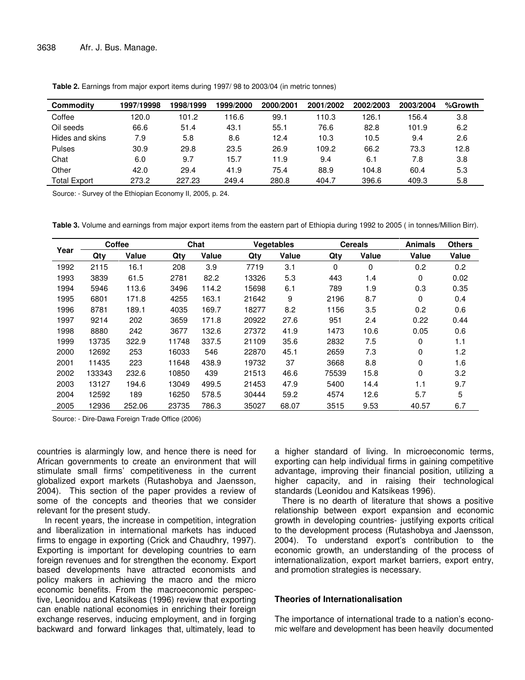| Commodity           | 1997/19998 | 1998/1999 | 1999/2000 | 2000/2001 | 2001/2002 | 2002/2003 | 2003/2004 | %Growth |
|---------------------|------------|-----------|-----------|-----------|-----------|-----------|-----------|---------|
| Coffee              | 120.0      | 101.2     | 16.6      | 99.1      | 110.3     | 126.1     | 156.4     | 3.8     |
| Oil seeds           | 66.6       | 51.4      | 43.1      | 55.1      | 76.6      | 82.8      | 101.9     | 6.2     |
| Hides and skins     | 7.9        | 5.8       | 8.6       | 12.4      | 10.3      | 10.5      | 9.4       | 2.6     |
| Pulses              | 30.9       | 29.8      | 23.5      | 26.9      | 109.2     | 66.2      | 73.3      | 12.8    |
| Chat                | 6.0        | 9.7       | 15.7      | 11.9      | 9.4       | 6.1       | 7.8       | 3.8     |
| Other               | 42.0       | 29.4      | 41.9      | 75.4      | 88.9      | 104.8     | 60.4      | 5.3     |
| <b>Total Export</b> | 273.2      | 227.23    | 249.4     | 280.8     | 404.7     | 396.6     | 409.3     | 5.8     |

**Table 2.** Earnings from major export items during 1997/ 98 to 2003/04 (in metric tonnes)

Source: - Survey of the Ethiopian Economy II, 2005, p. 24.

**Table 3.** Volume and earnings from major export items from the eastern part of Ethiopia during 1992 to 2005 ( in tonnes/Million Birr).

|      | <b>Coffee</b> |        |       | Chat         |       | <b>Vegetables</b> | <b>Cereals</b> |              | <b>Animals</b> | <b>Others</b> |
|------|---------------|--------|-------|--------------|-------|-------------------|----------------|--------------|----------------|---------------|
| Year | Qtv           | Value  | Qty   | <b>Value</b> | Qtv   | Value             | Qtv            | <b>Value</b> | Value          | Value         |
| 1992 | 2115          | 16.1   | 208   | 3.9          | 7719  | 3.1               | 0              | 0            | 0.2            | 0.2           |
| 1993 | 3839          | 61.5   | 2781  | 82.2         | 13326 | 5.3               | 443            | 1.4          | 0              | 0.02          |
| 1994 | 5946          | 113.6  | 3496  | 114.2        | 15698 | 6.1               | 789            | 1.9          | 0.3            | 0.35          |
| 1995 | 6801          | 171.8  | 4255  | 163.1        | 21642 | 9                 | 2196           | 8.7          | 0              | 0.4           |
| 1996 | 8781          | 189.1  | 4035  | 169.7        | 18277 | 8.2               | 1156           | 3.5          | 0.2            | 0.6           |
| 1997 | 9214          | 202    | 3659  | 171.8        | 20922 | 27.6              | 951            | 2.4          | 0.22           | 0.44          |
| 1998 | 8880          | 242    | 3677  | 132.6        | 27372 | 41.9              | 1473           | 10.6         | 0.05           | 0.6           |
| 1999 | 13735         | 322.9  | 11748 | 337.5        | 21109 | 35.6              | 2832           | 7.5          | 0              | 1.1           |
| 2000 | 12692         | 253    | 16033 | 546          | 22870 | 45.1              | 2659           | 7.3          | 0              | 1.2           |
| 2001 | 11435         | 223    | 11648 | 438.9        | 19732 | 37                | 3668           | 8.8          | 0              | 1.6           |
| 2002 | 133343        | 232.6  | 10850 | 439          | 21513 | 46.6              | 75539          | 15.8         | 0              | 3.2           |
| 2003 | 13127         | 194.6  | 13049 | 499.5        | 21453 | 47.9              | 5400           | 14.4         | 1.1            | 9.7           |
| 2004 | 12592         | 189    | 16250 | 578.5        | 30444 | 59.2              | 4574           | 12.6         | 5.7            | 5             |
| 2005 | 12936         | 252.06 | 23735 | 786.3        | 35027 | 68.07             | 3515           | 9.53         | 40.57          | 6.7           |

Source: - Dire-Dawa Foreign Trade Office (2006)

countries is alarmingly low, and hence there is need for African governments to create an environment that will stimulate small firms' competitiveness in the current globalized export markets (Rutashobya and Jaensson, 2004). This section of the paper provides a review of some of the concepts and theories that we consider relevant for the present study.

In recent years, the increase in competition, integration and liberalization in international markets has induced firms to engage in exporting (Crick and Chaudhry, 1997). Exporting is important for developing countries to earn foreign revenues and for strengthen the economy. Export based developments have attracted economists and policy makers in achieving the macro and the micro economic benefits. From the macroeconomic perspective, Leonidou and Katsikeas (1996) review that exporting can enable national economies in enriching their foreign exchange reserves, inducing employment, and in forging backward and forward linkages that, ultimately, lead to

a higher standard of living. In microeconomic terms, exporting can help individual firms in gaining competitive advantage, improving their financial position, utilizing a higher capacity, and in raising their technological standards (Leonidou and Katsikeas 1996).

There is no dearth of literature that shows a positive relationship between export expansion and economic growth in developing countries- justifying exports critical to the development process (Rutashobya and Jaensson, 2004). To understand export's contribution to the economic growth, an understanding of the process of internationalization, export market barriers, export entry, and promotion strategies is necessary.

## **Theories of Internationalisation**

The importance of international trade to a nation's economic welfare and development has been heavily documented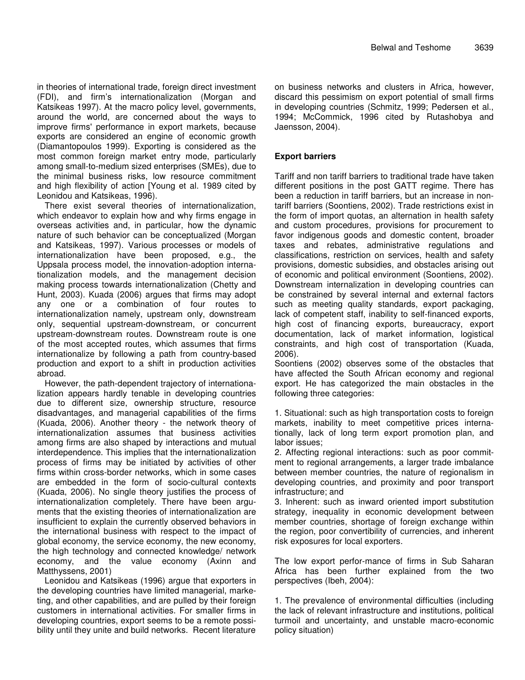in theories of international trade, foreign direct investment (FDI), and firm's internationalization (Morgan and Katsikeas 1997). At the macro policy level, governments, around the world, are concerned about the ways to improve firms' performance in export markets, because exports are considered an engine of economic growth (Diamantopoulos 1999). Exporting is considered as the most common foreign market entry mode, particularly among small-to-medium sized enterprises (SMEs), due to the minimal business risks, low resource commitment and high flexibility of action [Young et al. 1989 cited by Leonidou and Katsikeas, 1996).

There exist several theories of internationalization, which endeavor to explain how and why firms engage in overseas activities and, in particular, how the dynamic nature of such behavior can be conceptualized (Morgan and Katsikeas, 1997). Various processes or models of internationalization have been proposed, e.g., the Uppsala process model, the innovation-adoption internationalization models, and the management decision making process towards internationalization (Chetty and Hunt, 2003). Kuada (2006) argues that firms may adopt any one or a combination of four routes to internationalization namely, upstream only, downstream only, sequential upstream-downstream, or concurrent upstream-downstream routes. Downstream route is one of the most accepted routes, which assumes that firms internationalize by following a path from country-based production and export to a shift in production activities abroad.

However, the path-dependent trajectory of internationalization appears hardly tenable in developing countries due to different size, ownership structure, resource disadvantages, and managerial capabilities of the firms (Kuada, 2006). Another theory - the network theory of internationalization assumes that business activities among firms are also shaped by interactions and mutual interdependence. This implies that the internationalization process of firms may be initiated by activities of other firms within cross-border networks, which in some cases are embedded in the form of socio-cultural contexts (Kuada, 2006). No single theory justifies the process of internationalization completely. There have been arguments that the existing theories of internationalization are insufficient to explain the currently observed behaviors in the international business with respect to the impact of global economy, the service economy, the new economy, the high technology and connected knowledge/ network economy, and the value economy (Axinn and Matthyssens, 2001)

Leonidou and Katsikeas (1996) argue that exporters in the developing countries have limited managerial, marketing, and other capabilities, and are pulled by their foreign customers in international activities. For smaller firms in developing countries, export seems to be a remote possibility until they unite and build networks. Recent literature on business networks and clusters in Africa, however, discard this pessimism on export potential of small firms in developing countries (Schmitz, 1999; Pedersen et al., 1994; McCommick, 1996 cited by Rutashobya and Jaensson, 2004).

# **Export barriers**

Tariff and non tariff barriers to traditional trade have taken different positions in the post GATT regime. There has been a reduction in tariff barriers, but an increase in nontariff barriers (Soontiens, 2002). Trade restrictions exist in the form of import quotas, an alternation in health safety and custom procedures, provisions for procurement to favor indigenous goods and domestic content, broader taxes and rebates, administrative regulations and classifications, restriction on services, health and safety provisions, domestic subsidies, and obstacles arising out of economic and political environment (Soontiens, 2002). Downstream internalization in developing countries can be constrained by several internal and external factors such as meeting quality standards, export packaging, lack of competent staff, inability to self-financed exports, high cost of financing exports, bureaucracy, export documentation, lack of market information, logistical constraints, and high cost of transportation (Kuada, 2006).

Soontiens (2002) observes some of the obstacles that have affected the South African economy and regional export. He has categorized the main obstacles in the following three categories:

1. Situational: such as high transportation costs to foreign markets, inability to meet competitive prices internationally, lack of long term export promotion plan, and labor issues;

2. Affecting regional interactions: such as poor commitment to regional arrangements, a larger trade imbalance between member countries, the nature of regionalism in developing countries, and proximity and poor transport infrastructure; and

3. Inherent: such as inward oriented import substitution strategy, inequality in economic development between member countries, shortage of foreign exchange within the region, poor convertibility of currencies, and inherent risk exposures for local exporters.

The low export perfor-mance of firms in Sub Saharan Africa has been further explained from the two perspectives (Ibeh, 2004):

1. The prevalence of environmental difficulties (including the lack of relevant infrastructure and institutions, political turmoil and uncertainty, and unstable macro-economic policy situation)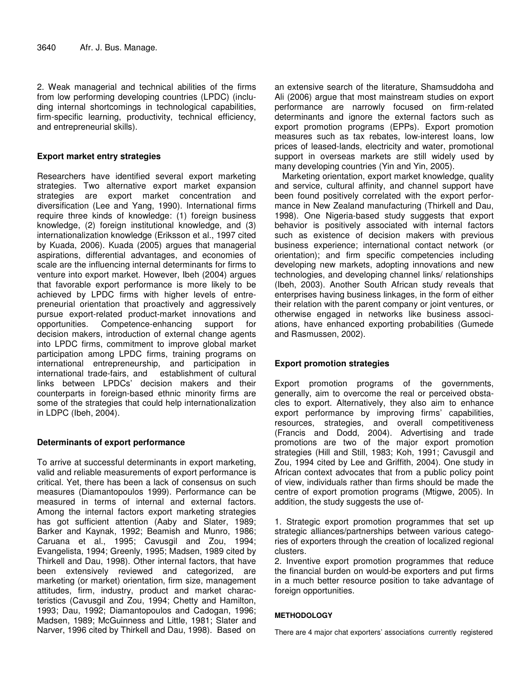2. Weak managerial and technical abilities of the firms from low performing developing countries (LPDC) (including internal shortcomings in technological capabilities, firm-specific learning, productivity, technical efficiency, and entrepreneurial skills).

## **Export market entry strategies**

Researchers have identified several export marketing strategies. Two alternative export market expansion strategies are export market concentration and diversification (Lee and Yang, 1990). International firms require three kinds of knowledge: (1) foreign business knowledge, (2) foreign institutional knowledge, and (3) internationalization knowledge (Eriksson et al., 1997 cited by Kuada, 2006). Kuada (2005) argues that managerial aspirations, differential advantages, and economies of scale are the influencing internal determinants for firms to venture into export market. However, Ibeh (2004) argues that favorable export performance is more likely to be achieved by LPDC firms with higher levels of entrepreneurial orientation that proactively and aggressively pursue export-related product-market innovations and opportunities. Competence-enhancing support for decision makers, introduction of external change agents into LPDC firms, commitment to improve global market participation among LPDC firms, training programs on international entrepreneurship, and participation in international trade-fairs, and establishment of cultural links between LPDCs' decision makers and their counterparts in foreign-based ethnic minority firms are some of the strategies that could help internationalization in LDPC (Ibeh, 2004).

## **Determinants of export performance**

To arrive at successful determinants in export marketing, valid and reliable measurements of export performance is critical. Yet, there has been a lack of consensus on such measures (Diamantopoulos 1999). Performance can be measured in terms of internal and external factors. Among the internal factors export marketing strategies has got sufficient attention (Aaby and Slater, 1989; Barker and Kaynak, 1992; Beamish and Munro, 1986; Caruana et al., 1995; Cavusgil and Zou, 1994; Evangelista, 1994; Greenly, 1995; Madsen, 1989 cited by Thirkell and Dau, 1998). Other internal factors, that have been extensively reviewed and categorized, are marketing (or market) orientation, firm size, management attitudes, firm, industry, product and market characteristics (Cavusgil and Zou, 1994; Chetty and Hamilton, 1993; Dau, 1992; Diamantopoulos and Cadogan, 1996; Madsen, 1989; McGuinness and Little, 1981; Slater and Narver, 1996 cited by Thirkell and Dau, 1998). Based on

an extensive search of the literature, Shamsuddoha and Ali (2006) argue that most mainstream studies on export performance are narrowly focused on firm-related determinants and ignore the external factors such as export promotion programs (EPPs). Export promotion measures such as tax rebates, low-interest loans, low prices of leased-lands, electricity and water, promotional support in overseas markets are still widely used by many developing countries (Yin and Yin, 2005).

Marketing orientation, export market knowledge, quality and service, cultural affinity, and channel support have been found positively correlated with the export performance in New Zealand manufacturing (Thirkell and Dau, 1998). One Nigeria-based study suggests that export behavior is positively associated with internal factors such as existence of decision makers with previous business experience; international contact network (or orientation); and firm specific competencies including developing new markets, adopting innovations and new technologies, and developing channel links/ relationships (Ibeh, 2003). Another South African study reveals that enterprises having business linkages, in the form of either their relation with the parent company or joint ventures, or otherwise engaged in networks like business associations, have enhanced exporting probabilities (Gumede and Rasmussen, 2002).

# **Export promotion strategies**

Export promotion programs of the governments, generally, aim to overcome the real or perceived obstacles to export. Alternatively, they also aim to enhance export performance by improving firms' capabilities, resources, strategies, and overall competitiveness (Francis and Dodd, 2004). Advertising and trade promotions are two of the major export promotion strategies (Hill and Still, 1983; Koh, 1991; Cavusgil and Zou, 1994 cited by Lee and Griffith, 2004). One study in African context advocates that from a public policy point of view, individuals rather than firms should be made the centre of export promotion programs (Mtigwe, 2005). In addition, the study suggests the use of-

1. Strategic export promotion programmes that set up strategic alliances/partnerships between various categories of exporters through the creation of localized regional clusters.

2. Inventive export promotion programmes that reduce the financial burden on would-be exporters and put firms in a much better resource position to take advantage of foreign opportunities.

#### **METHODOLOGY**

There are 4 major chat exporters' associations currently registered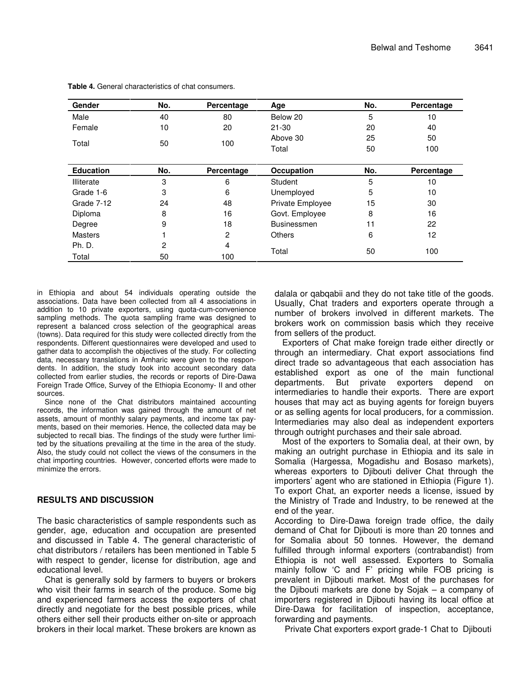| <b>Gender</b>    | No. | Percentage | Age                | No. | Percentage |
|------------------|-----|------------|--------------------|-----|------------|
| Male             | 40  | 80         | Below 20           | 5   | 10         |
| Female           | 10  | 20         | $21 - 30$          | 20  | 40         |
| Total            | 50  | 100        | Above 30           | 25  | 50         |
|                  |     |            | Total              | 50  | 100        |
|                  |     |            |                    |     |            |
| <b>Education</b> | No. | Percentage | Occupation         | No. | Percentage |
| Illiterate       | 3   | 6          | Student            | 5   | 10         |
| Grade 1-6        | 3   | 6          | Unemployed         | 5   | 10         |
| Grade 7-12       | 24  | 48         | Private Employee   | 15  | 30         |
| Diploma          | 8   | 16         | Govt. Employee     | 8   | 16         |
| Degree           | 9   | 18         | <b>Businessmen</b> | 11  | 22         |
| <b>Masters</b>   |     | 2          | <b>Others</b>      | 6   | 12         |
| Ph. D.           | 2   | 4          |                    |     |            |
| Total            | 50  | 100        | Total              | 50  | 100        |

**Table 4.** General characteristics of chat consumers.

in Ethiopia and about 54 individuals operating outside the associations. Data have been collected from all 4 associations in addition to 10 private exporters, using quota-cum-convenience sampling methods. The quota sampling frame was designed to represent a balanced cross selection of the geographical areas (towns). Data required for this study were collected directly from the respondents. Different questionnaires were developed and used to gather data to accomplish the objectives of the study. For collecting data, necessary translations in Amharic were given to the respondents. In addition, the study took into account secondary data collected from earlier studies, the records or reports of Dire-Dawa Foreign Trade Office, Survey of the Ethiopia Economy- II and other sources.

Since none of the Chat distributors maintained accounting records, the information was gained through the amount of net assets, amount of monthly salary payments, and income tax payments, based on their memories. Hence, the collected data may be subjected to recall bias. The findings of the study were further limited by the situations prevailing at the time in the area of the study. Also, the study could not collect the views of the consumers in the chat importing countries. However, concerted efforts were made to minimize the errors.

## **RESULTS AND DISCUSSION**

The basic characteristics of sample respondents such as gender, age, education and occupation are presented and discussed in Table 4. The general characteristic of chat distributors / retailers has been mentioned in Table 5 with respect to gender, license for distribution, age and educational level.

Chat is generally sold by farmers to buyers or brokers who visit their farms in search of the produce. Some big and experienced farmers access the exporters of chat directly and negotiate for the best possible prices, while others either sell their products either on-site or approach brokers in their local market. These brokers are known as dalala or qabqabii and they do not take title of the goods. Usually, Chat traders and exporters operate through a number of brokers involved in different markets. The brokers work on commission basis which they receive from sellers of the product.

Exporters of Chat make foreign trade either directly or through an intermediary. Chat export associations find direct trade so advantageous that each association has established export as one of the main functional departments. But private exporters depend on intermediaries to handle their exports. There are export houses that may act as buying agents for foreign buyers or as selling agents for local producers, for a commission. Intermediaries may also deal as independent exporters through outright purchases and their sale abroad.

Most of the exporters to Somalia deal, at their own, by making an outright purchase in Ethiopia and its sale in Somalia (Hargessa, Mogadishu and Bosaso markets), whereas exporters to Djibouti deliver Chat through the importers' agent who are stationed in Ethiopia (Figure 1). To export Chat, an exporter needs a license, issued by the Ministry of Trade and Industry, to be renewed at the end of the year.

According to Dire-Dawa foreign trade office, the daily demand of Chat for Diibouti is more than 20 tonnes and for Somalia about 50 tonnes. However, the demand fulfilled through informal exporters (contrabandist) from Ethiopia is not well assessed. Exporters to Somalia mainly follow 'C and F' pricing while FOB pricing is prevalent in Djibouti market. Most of the purchases for the Djibouti markets are done by Sojak – a company of importers registered in Djibouti having its local office at Dire-Dawa for facilitation of inspection, acceptance, forwarding and payments.

Private Chat exporters export grade-1 Chat to Djibouti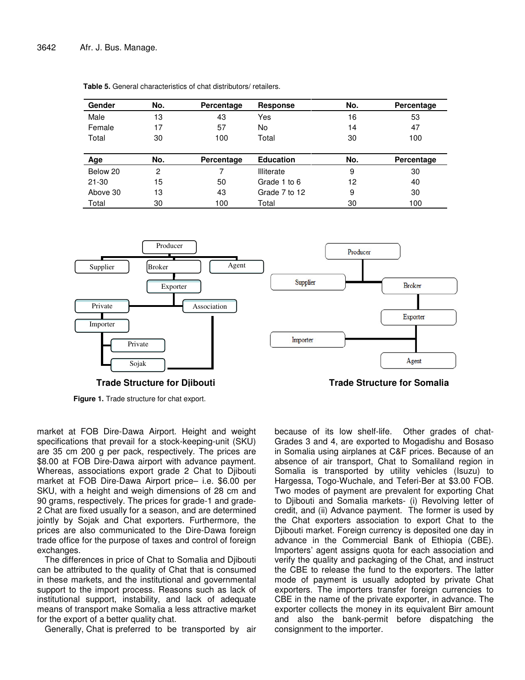| Gender    | No. | Percentage | <b>Response</b>   | No. | Percentage |
|-----------|-----|------------|-------------------|-----|------------|
| Male      | 13  | 43         | Yes               | 16  | 53         |
| Female    | 17  | 57         | No                | 14  | 47         |
| Total     | 30  | 100        | Total             | 30  | 100        |
| Age       | No. | Percentage | <b>Education</b>  | No. | Percentage |
| Below 20  | 2   |            | <b>Illiterate</b> | 9   | 30         |
| $21 - 30$ | 15  | 50         | Grade 1 to 6      | 12  | 40         |
| Above 30  | 13  | 43         | Grade 7 to 12     | 9   | 30         |
| Total     | 30  | 100        | Total             | 30  | 100        |

**Table 5.** General characteristics of chat distributors/ retailers.



**Trade Structure for Djibouti Trade Structure for Somalia**

**Figure 1.** Trade structure for chat export.

market at FOB Dire-Dawa Airport. Height and weight specifications that prevail for a stock-keeping-unit (SKU) are 35 cm 200 g per pack, respectively. The prices are \$8.00 at FOB Dire-Dawa airport with advance payment. Whereas, associations export grade 2 Chat to Djibouti market at FOB Dire-Dawa Airport price– i.e. \$6.00 per SKU, with a height and weigh dimensions of 28 cm and 90 grams, respectively. The prices for grade-1 and grade-2 Chat are fixed usually for a season, and are determined jointly by Sojak and Chat exporters. Furthermore, the prices are also communicated to the Dire-Dawa foreign trade office for the purpose of taxes and control of foreign exchanges.

The differences in price of Chat to Somalia and Djibouti can be attributed to the quality of Chat that is consumed in these markets, and the institutional and governmental support to the import process. Reasons such as lack of institutional support, instability, and lack of adequate means of transport make Somalia a less attractive market for the export of a better quality chat.

Generally, Chat is preferred to be transported by air

because of its low shelf-life. Other grades of chat-Grades 3 and 4, are exported to Mogadishu and Bosaso in Somalia using airplanes at C&F prices. Because of an absence of air transport, Chat to Somaliland region in Somalia is transported by utility vehicles (Isuzu) to Hargessa, Togo-Wuchale, and Teferi-Ber at \$3.00 FOB. Two modes of payment are prevalent for exporting Chat to Djibouti and Somalia markets- (i) Revolving letter of credit, and (ii) Advance payment. The former is used by the Chat exporters association to export Chat to the Djibouti market. Foreign currency is deposited one day in advance in the Commercial Bank of Ethiopia (CBE). Importers' agent assigns quota for each association and verify the quality and packaging of the Chat, and instruct the CBE to release the fund to the exporters. The latter mode of payment is usually adopted by private Chat exporters. The importers transfer foreign currencies to CBE in the name of the private exporter, in advance. The exporter collects the money in its equivalent Birr amount and also the bank-permit before dispatching the consignment to the importer.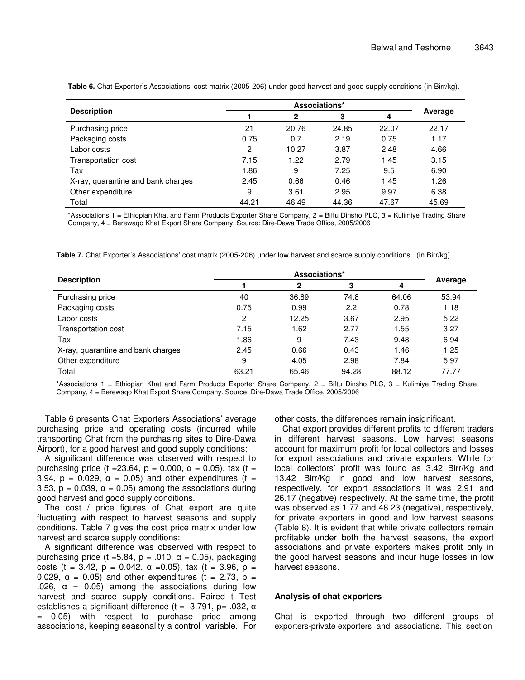| <b>Description</b>                 |                | 2     | 3     | 4     | Average |
|------------------------------------|----------------|-------|-------|-------|---------|
| Purchasing price                   | 21             | 20.76 | 24.85 | 22.07 | 22.17   |
| Packaging costs                    | 0.75           | 0.7   | 2.19  | 0.75  | 1.17    |
| Labor costs                        | $\overline{c}$ | 10.27 | 3.87  | 2.48  | 4.66    |
| Transportation cost                | 7.15           | 1.22  | 2.79  | 1.45  | 3.15    |
| Tax                                | 1.86           | 9     | 7.25  | 9.5   | 6.90    |
| X-ray, quarantine and bank charges | 2.45           | 0.66  | 0.46  | 1.45  | 1.26    |
| Other expenditure                  | 9              | 3.61  | 2.95  | 9.97  | 6.38    |
| Total                              | 44.21          | 46.49 | 44.36 | 47.67 | 45.69   |

**Table 6.** Chat Exporter's Associations' cost matrix (2005-206) under good harvest and good supply conditions (in Birr/kg).

\*Associations 1 = Ethiopian Khat and Farm Products Exporter Share Company, 2 = Biftu Dinsho PLC, 3 = Kulimiye Trading Share Company, 4 = Berewaqo Khat Export Share Company. Source: Dire-Dawa Trade Office, 2005/2006

**Table 7.** Chat Exporter's Associations' cost matrix (2005-206) under low harvest and scarce supply conditions (in Birr/kg).

|                                    | Associations* |       |       |       |         |  |
|------------------------------------|---------------|-------|-------|-------|---------|--|
| <b>Description</b>                 |               | 2     | 3     | 4     | Average |  |
| Purchasing price                   | 40            | 36.89 | 74.8  | 64.06 | 53.94   |  |
| Packaging costs                    | 0.75          | 0.99  | 2.2   | 0.78  | 1.18    |  |
| Labor costs                        | 2             | 12.25 | 3.67  | 2.95  | 5.22    |  |
| Transportation cost                | 7.15          | 1.62  | 2.77  | 1.55  | 3.27    |  |
| Tax                                | 1.86          | 9     | 7.43  | 9.48  | 6.94    |  |
| X-ray, quarantine and bank charges | 2.45          | 0.66  | 0.43  | 1.46  | 1.25    |  |
| Other expenditure                  | 9             | 4.05  | 2.98  | 7.84  | 5.97    |  |
| Total                              | 63.21         | 65.46 | 94.28 | 88.12 | 77.77   |  |

\*Associations 1 = Ethiopian Khat and Farm Products Exporter Share Company, 2 = Biftu Dinsho PLC, 3 = Kulimiye Trading Share Company, 4 = Berewaqo Khat Export Share Company. Source: Dire-Dawa Trade Office, 2005/2006

Table 6 presents Chat Exporters Associations' average purchasing price and operating costs (incurred while transporting Chat from the purchasing sites to Dire-Dawa Airport), for a good harvest and good supply conditions:

A significant difference was observed with respect to purchasing price (t = 23.64, p = 0.000,  $\alpha$  = 0.05), tax (t = 3.94,  $p = 0.029$ ,  $\alpha = 0.05$ ) and other expenditures (t = 3.53,  $p = 0.039$ ,  $\alpha = 0.05$ ) among the associations during good harvest and good supply conditions.

The cost / price figures of Chat export are quite fluctuating with respect to harvest seasons and supply conditions. Table 7 gives the cost price matrix under low harvest and scarce supply conditions:

A significant difference was observed with respect to purchasing price (t = 5.84, p = .010,  $\alpha$  = 0.05), packaging costs (t = 3.42, p = 0.042,  $\alpha$  = 0.05), tax (t = 3.96, p = 0.029,  $\alpha$  = 0.05) and other expenditures (t = 2.73, p = .026,  $\alpha$  = 0.05) among the associations during low harvest and scarce supply conditions. Paired t Test establishes a significant difference (t =  $-3.791$ , p=  $.032$ ,  $\alpha$ = 0.05) with respect to purchase price among associations, keeping seasonality a control variable. For other costs, the differences remain insignificant.

Chat export provides different profits to different traders in different harvest seasons. Low harvest seasons account for maximum profit for local collectors and losses for export associations and private exporters. While for local collectors' profit was found as 3.42 Birr/Kg and 13.42 Birr/Kg in good and low harvest seasons, respectively, for export associations it was 2.91 and 26.17 (negative) respectively. At the same time, the profit was observed as 1.77 and 48.23 (negative), respectively, for private exporters in good and low harvest seasons (Table 8). It is evident that while private collectors remain profitable under both the harvest seasons, the export associations and private exporters makes profit only in the good harvest seasons and incur huge losses in low harvest seasons.

#### **Analysis of chat exporters**

Chat is exported through two different groups of exporters-private exporters and associations. This section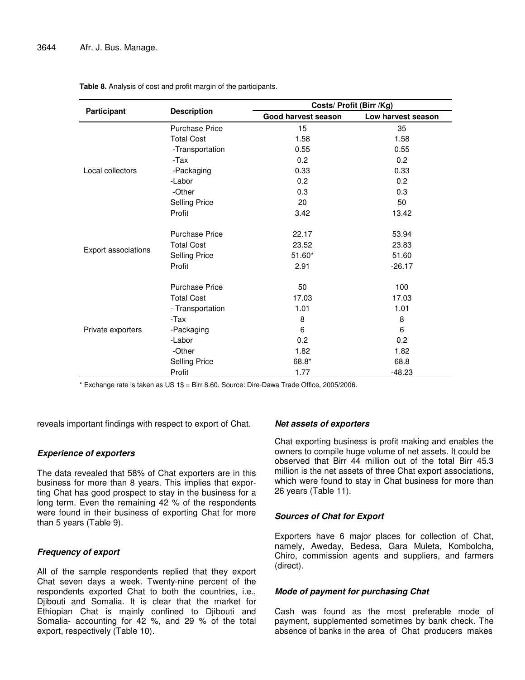|                     |                       | Costs/ Profit (Birr /Kg) |                    |  |  |
|---------------------|-----------------------|--------------------------|--------------------|--|--|
| Participant         | <b>Description</b>    | Good harvest season      | Low harvest season |  |  |
|                     | <b>Purchase Price</b> | 15                       | 35                 |  |  |
|                     | <b>Total Cost</b>     | 1.58                     | 1.58               |  |  |
|                     | -Transportation       | 0.55                     | 0.55               |  |  |
|                     | -Tax                  | 0.2                      | 0.2                |  |  |
| Local collectors    | -Packaging            | 0.33                     | 0.33               |  |  |
|                     | -Labor                | 0.2                      | 0.2                |  |  |
|                     | -Other                | 0.3                      | 0.3                |  |  |
|                     | <b>Selling Price</b>  | 20                       | 50                 |  |  |
|                     | Profit                | 3.42                     | 13.42              |  |  |
|                     | <b>Purchase Price</b> | 22.17                    | 53.94              |  |  |
|                     | <b>Total Cost</b>     | 23.52                    | 23.83              |  |  |
| Export associations | <b>Selling Price</b>  | $51.60*$                 | 51.60              |  |  |
|                     | Profit                | 2.91                     | $-26.17$           |  |  |
|                     | <b>Purchase Price</b> | 50                       | 100                |  |  |
|                     | <b>Total Cost</b>     | 17.03                    | 17.03              |  |  |
|                     | - Transportation      | 1.01                     | 1.01               |  |  |
|                     | -Tax                  | 8                        | 8                  |  |  |
| Private exporters   | -Packaging            | 6                        | 6                  |  |  |
|                     | -Labor                | 0.2                      | 0.2                |  |  |
|                     | -Other                | 1.82                     | 1.82               |  |  |
|                     | <b>Selling Price</b>  | 68.8*                    | 68.8               |  |  |
|                     | Profit                | 1.77                     | $-48.23$           |  |  |

**Table 8.** Analysis of cost and profit margin of the participants.

\* Exchange rate is taken as US 1\$ = Birr 8.60. Source: Dire-Dawa Trade Office, 2005/2006.

reveals important findings with respect to export of Chat.

## *Experience of exporters*

The data revealed that 58% of Chat exporters are in this business for more than 8 years. This implies that exporting Chat has good prospect to stay in the business for a long term. Even the remaining 42 % of the respondents were found in their business of exporting Chat for more than 5 years (Table 9).

## *Frequency of export*

All of the sample respondents replied that they export Chat seven days a week. Twenty-nine percent of the respondents exported Chat to both the countries, i.e., Djibouti and Somalia. It is clear that the market for Ethiopian Chat is mainly confined to Djibouti and Somalia- accounting for 42 %, and 29 % of the total export, respectively (Table 10).

## *Net assets of exporters*

Chat exporting business is profit making and enables the owners to compile huge volume of net assets. It could be observed that Birr 44 million out of the total Birr 45.3 million is the net assets of three Chat export associations, which were found to stay in Chat business for more than 26 years (Table 11).

## *Sources of Chat for Export*

Exporters have 6 major places for collection of Chat, namely, Aweday, Bedesa, Gara Muleta, Kombolcha, Chiro, commission agents and suppliers, and farmers (direct).

## *Mode of payment for purchasing Chat*

Cash was found as the most preferable mode of payment, supplemented sometimes by bank check. The absence of banks in the area of Chat producers makes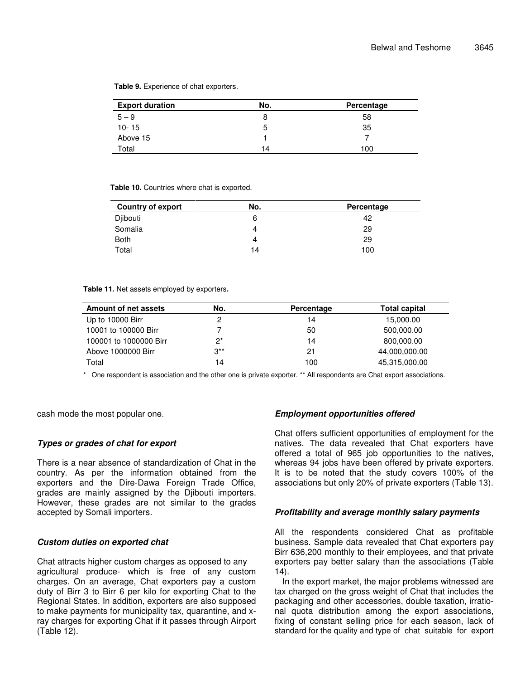| <b>Export duration</b> | No. | Percentage |
|------------------------|-----|------------|
| $5 - 9$                |     | 58         |
| $10 - 15$              | 5   | 35         |
| Above 15               |     |            |
| Total                  | 14  | 100        |

**Table 9.** Experience of chat exporters.

#### **Table 10.** Countries where chat is exported.

| <b>Country of export</b> | No. | Percentage |
|--------------------------|-----|------------|
| Djibouti                 |     | 42         |
| Somalia                  |     | 29         |
| <b>Both</b>              | 4   | 29         |
| Total                    | 14  | 100        |

#### **Table 11.** Net assets employed by exporters**.**

| Amount of net assets   | No.      | Percentage | <b>Total capital</b> |
|------------------------|----------|------------|----------------------|
| Up to 10000 Birr       |          | 14         | 15,000.00            |
| 10001 to 100000 Birr   |          | 50         | 500,000.00           |
| 100001 to 1000000 Birr | $2^*$    | 14         | 800,000.00           |
| Above 1000000 Birr     | $3^{**}$ | 21         | 44,000,000.00        |
| Total                  | 14       | 100        | 45,315,000.00        |

One respondent is association and the other one is private exporter. \*\* All respondents are Chat export associations.

cash mode the most popular one.

#### *Types or grades of chat for export*

There is a near absence of standardization of Chat in the country. As per the information obtained from the exporters and the Dire-Dawa Foreign Trade Office, grades are mainly assigned by the Djibouti importers. However, these grades are not similar to the grades accepted by Somali importers.

#### *Custom duties on exported chat*

Chat attracts higher custom charges as opposed to any agricultural produce- which is free of any custom charges. On an average, Chat exporters pay a custom duty of Birr 3 to Birr 6 per kilo for exporting Chat to the Regional States. In addition, exporters are also supposed to make payments for municipality tax, quarantine, and xray charges for exporting Chat if it passes through Airport (Table 12).

## *Employment opportunities offered*

Chat offers sufficient opportunities of employment for the natives. The data revealed that Chat exporters have offered a total of 965 job opportunities to the natives, whereas 94 jobs have been offered by private exporters. It is to be noted that the study covers 100% of the associations but only 20% of private exporters (Table 13).

#### *Profitability and average monthly salary payments*

All the respondents considered Chat as profitable business. Sample data revealed that Chat exporters pay Birr 636,200 monthly to their employees, and that private exporters pay better salary than the associations (Table 14).

In the export market, the major problems witnessed are tax charged on the gross weight of Chat that includes the packaging and other accessories, double taxation, irrational quota distribution among the export associations, fixing of constant selling price for each season, lack of standard for the quality and type of chat suitable for export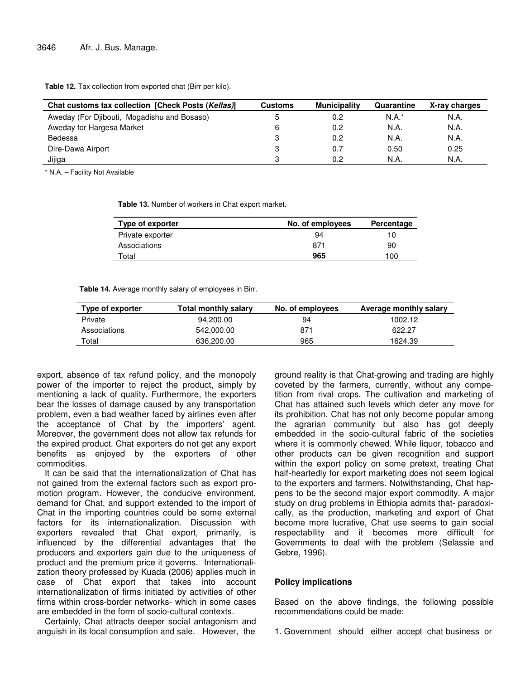**Table 12.** Tax collection from exported chat (Birr per kilo).

| Chat customs tax collection [Check Posts (Kellas)] | <b>Customs</b> | <b>Municipality</b> | Quarantine | X-ray charges |
|----------------------------------------------------|----------------|---------------------|------------|---------------|
| Aweday (For Djibouti, Mogadishu and Bosaso)        |                | 0.2                 | $N.A.*$    | N.A.          |
| Aweday for Hargesa Market                          |                | 0.2                 | N.A.       | N.A.          |
| Bedessa                                            |                | 0.2                 | N.A.       | N.A.          |
| Dire-Dawa Airport                                  |                | 0.7                 | 0.50       | 0.25          |
| Jijiga                                             |                | 0.2                 | N.A.       | N.A.          |

\* N.A. – Facility Not Available

**Table 13.** Number of workers in Chat export market.

| Type of exporter | No. of employees | Percentage |
|------------------|------------------|------------|
| Private exporter | 94               | 10         |
| Associations     | 871              | 90         |
| Total            | 965              | 100        |

**Table 14.** Average monthly salary of employees in Birr.

| Type of exporter | Total monthly salary | No. of employees | Average monthly salary |
|------------------|----------------------|------------------|------------------------|
| Private          | 94.200.00            | 94               | 1002.12                |
| Associations     | 542.000.00           | 871              | 622.27                 |
| Total            | 636,200.00           | 965              | 1624.39                |

export, absence of tax refund policy, and the monopoly power of the importer to reject the product, simply by mentioning a lack of quality. Furthermore, the exporters bear the losses of damage caused by any transportation problem, even a bad weather faced by airlines even after the acceptance of Chat by the importers' agent. Moreover, the government does not allow tax refunds for the expired product. Chat exporters do not get any export benefits as enjoyed by the exporters of other commodities.

It can be said that the internationalization of Chat has not gained from the external factors such as export promotion program. However, the conducive environment, demand for Chat, and support extended to the import of Chat in the importing countries could be some external factors for its internationalization. Discussion with exporters revealed that Chat export, primarily, is influenced by the differential advantages that the producers and exporters gain due to the uniqueness of product and the premium price it governs. Internationalization theory professed by Kuada (2006) applies much in case of Chat export that takes into account internationalization of firms initiated by activities of other firms within cross-border networks- which in some cases are embedded in the form of socio-cultural contexts.

Certainly, Chat attracts deeper social antagonism and anguish in its local consumption and sale. However, the

ground reality is that Chat-growing and trading are highly coveted by the farmers, currently, without any competition from rival crops. The cultivation and marketing of Chat has attained such levels which deter any move for its prohibition. Chat has not only become popular among the agrarian community but also has got deeply embedded in the socio-cultural fabric of the societies where it is commonly chewed. While liquor, tobacco and other products can be given recognition and support within the export policy on some pretext, treating Chat half-heartedly for export marketing does not seem logical to the exporters and farmers. Notwithstanding, Chat happens to be the second major export commodity. A major study on drug problems in Ethiopia admits that- paradoxically, as the production, marketing and export of Chat become more lucrative, Chat use seems to gain social respectability and it becomes more difficult for Governments to deal with the problem (Selassie and Gebre, 1996).

## **Policy implications**

Based on the above findings, the following possible recommendations could be made:

1. Government should either accept chat business or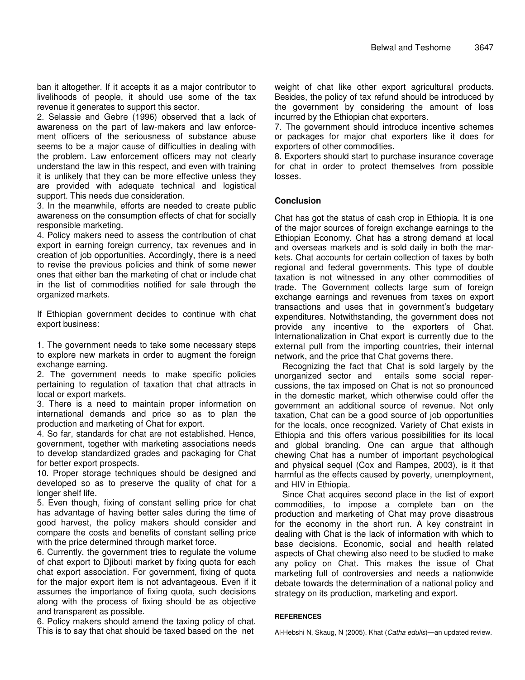ban it altogether. If it accepts it as a major contributor to livelihoods of people, it should use some of the tax revenue it generates to support this sector.

2. Selassie and Gebre (1996) observed that a lack of awareness on the part of law-makers and law enforcement officers of the seriousness of substance abuse seems to be a major cause of difficulties in dealing with the problem. Law enforcement officers may not clearly understand the law in this respect, and even with training it is unlikely that they can be more effective unless they are provided with adequate technical and logistical support. This needs due consideration.

3. In the meanwhile, efforts are needed to create public awareness on the consumption effects of chat for socially responsible marketing.

4. Policy makers need to assess the contribution of chat export in earning foreign currency, tax revenues and in creation of job opportunities. Accordingly, there is a need to revise the previous policies and think of some newer ones that either ban the marketing of chat or include chat in the list of commodities notified for sale through the organized markets.

If Ethiopian government decides to continue with chat export business:

1. The government needs to take some necessary steps to explore new markets in order to augment the foreign exchange earning.

2. The government needs to make specific policies pertaining to regulation of taxation that chat attracts in local or export markets.

3. There is a need to maintain proper information on international demands and price so as to plan the production and marketing of Chat for export.

4. So far, standards for chat are not established. Hence, government, together with marketing associations needs to develop standardized grades and packaging for Chat for better export prospects.

10. Proper storage techniques should be designed and developed so as to preserve the quality of chat for a longer shelf life.

5. Even though, fixing of constant selling price for chat has advantage of having better sales during the time of good harvest, the policy makers should consider and compare the costs and benefits of constant selling price with the price determined through market force.

6. Currently, the government tries to regulate the volume of chat export to Djibouti market by fixing quota for each chat export association. For government, fixing of quota for the major export item is not advantageous. Even if it assumes the importance of fixing quota, such decisions along with the process of fixing should be as objective and transparent as possible.

6. Policy makers should amend the taxing policy of chat. This is to say that chat should be taxed based on the net

weight of chat like other export agricultural products. Besides, the policy of tax refund should be introduced by the government by considering the amount of loss incurred by the Ethiopian chat exporters.

7. The government should introduce incentive schemes or packages for major chat exporters like it does for exporters of other commodities.

8. Exporters should start to purchase insurance coverage for chat in order to protect themselves from possible losses.

# **Conclusion**

Chat has got the status of cash crop in Ethiopia. It is one of the major sources of foreign exchange earnings to the Ethiopian Economy. Chat has a strong demand at local and overseas markets and is sold daily in both the markets. Chat accounts for certain collection of taxes by both regional and federal governments. This type of double taxation is not witnessed in any other commodities of trade. The Government collects large sum of foreign exchange earnings and revenues from taxes on export transactions and uses that in government's budgetary expenditures. Notwithstanding, the government does not provide any incentive to the exporters of Chat. Internationalization in Chat export is currently due to the external pull from the importing countries, their internal network, and the price that Chat governs there.

Recognizing the fact that Chat is sold largely by the unorganized sector and entails some social repercussions, the tax imposed on Chat is not so pronounced in the domestic market, which otherwise could offer the government an additional source of revenue. Not only taxation, Chat can be a good source of job opportunities for the locals, once recognized. Variety of Chat exists in Ethiopia and this offers various possibilities for its local and global branding. One can argue that although chewing Chat has a number of important psychological and physical sequel (Cox and Rampes, 2003), is it that harmful as the effects caused by poverty, unemployment, and HIV in Ethiopia.

Since Chat acquires second place in the list of export commodities, to impose a complete ban on the production and marketing of Chat may prove disastrous for the economy in the short run. A key constraint in dealing with Chat is the lack of information with which to base decisions. Economic, social and health related aspects of Chat chewing also need to be studied to make any policy on Chat. This makes the issue of Chat marketing full of controversies and needs a nationwide debate towards the determination of a national policy and strategy on its production, marketing and export.

#### **REFERENCES**

Al-Hebshi N, Skaug, N (2005). Khat (*Catha edulis*)—an updated review.